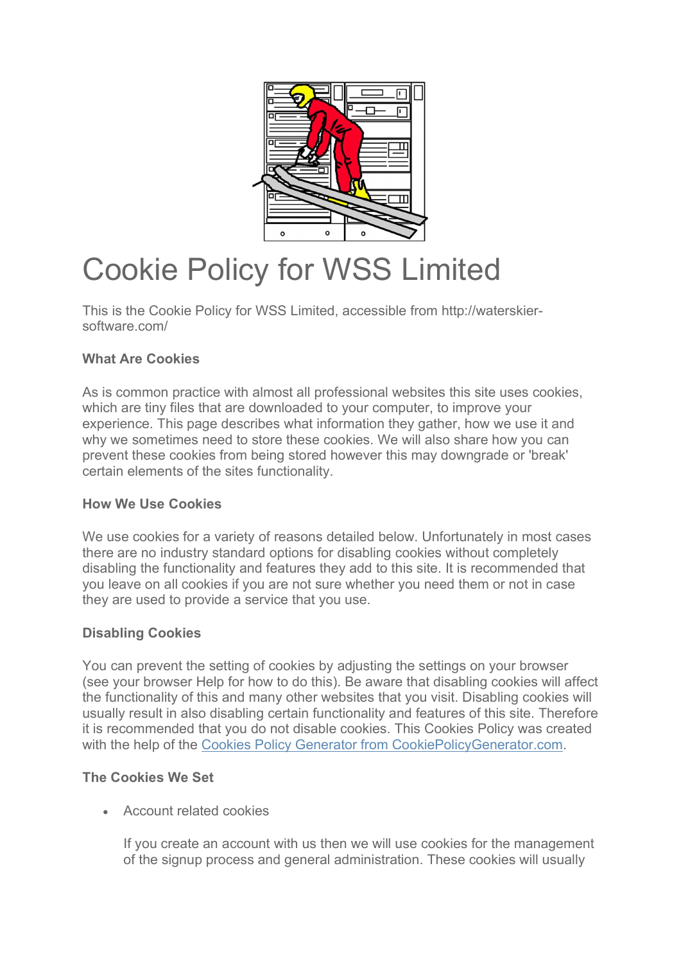

# Cookie Policy for WSS Limited

This is the Cookie Policy for WSS Limited, accessible from http://waterskiersoftware.com/

## What Are Cookies

As is common practice with almost all professional websites this site uses cookies, which are tiny files that are downloaded to your computer, to improve your experience. This page describes what information they gather, how we use it and why we sometimes need to store these cookies. We will also share how you can prevent these cookies from being stored however this may downgrade or 'break' certain elements of the sites functionality.

## How We Use Cookies

We use cookies for a variety of reasons detailed below. Unfortunately in most cases there are no industry standard options for disabling cookies without completely disabling the functionality and features they add to this site. It is recommended that you leave on all cookies if you are not sure whether you need them or not in case they are used to provide a service that you use.

## Disabling Cookies

You can prevent the setting of cookies by adjusting the settings on your browser (see your browser Help for how to do this). Be aware that disabling cookies will affect the functionality of this and many other websites that you visit. Disabling cookies will usually result in also disabling certain functionality and features of this site. Therefore it is recommended that you do not disable cookies. This Cookies Policy was created with the help of the Cookies Policy Generator from CookiePolicyGenerator.com.

## The Cookies We Set

Account related cookies

If you create an account with us then we will use cookies for the management of the signup process and general administration. These cookies will usually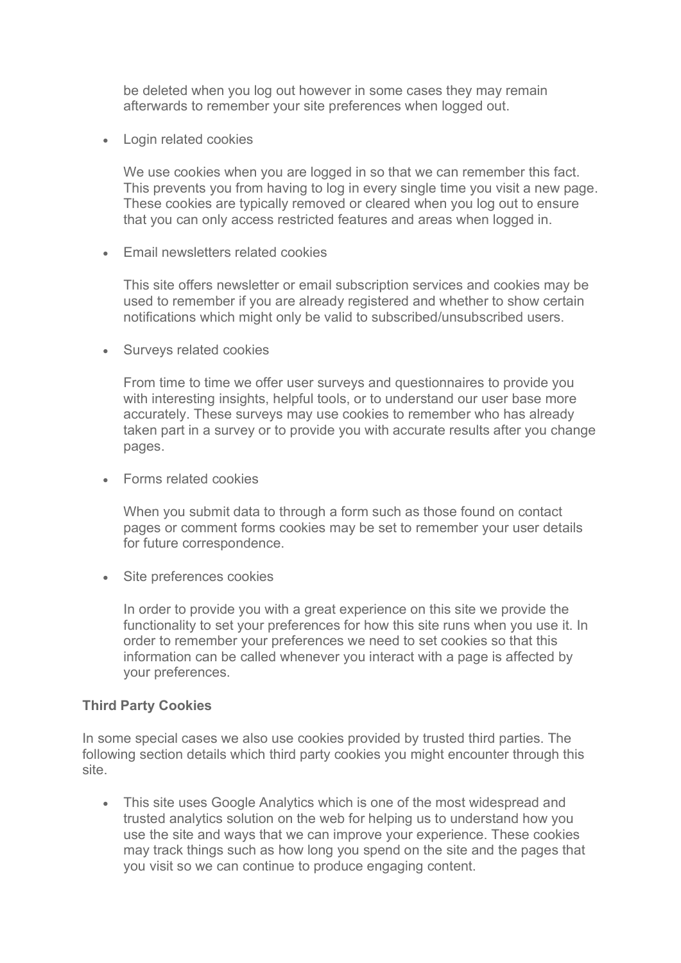be deleted when you log out however in some cases they may remain afterwards to remember your site preferences when logged out.

Login related cookies

We use cookies when you are logged in so that we can remember this fact. This prevents you from having to log in every single time you visit a new page. These cookies are typically removed or cleared when you log out to ensure that you can only access restricted features and areas when logged in.

• Fmail newsletters related cookies

This site offers newsletter or email subscription services and cookies may be used to remember if you are already registered and whether to show certain notifications which might only be valid to subscribed/unsubscribed users.

• Surveys related cookies

From time to time we offer user surveys and questionnaires to provide you with interesting insights, helpful tools, or to understand our user base more accurately. These surveys may use cookies to remember who has already taken part in a survey or to provide you with accurate results after you change pages.

Forms related cookies

When you submit data to through a form such as those found on contact pages or comment forms cookies may be set to remember your user details for future correspondence.

• Site preferences cookies

In order to provide you with a great experience on this site we provide the functionality to set your preferences for how this site runs when you use it. In order to remember your preferences we need to set cookies so that this information can be called whenever you interact with a page is affected by your preferences.

#### Third Party Cookies

In some special cases we also use cookies provided by trusted third parties. The following section details which third party cookies you might encounter through this site.

 This site uses Google Analytics which is one of the most widespread and trusted analytics solution on the web for helping us to understand how you use the site and ways that we can improve your experience. These cookies may track things such as how long you spend on the site and the pages that you visit so we can continue to produce engaging content.